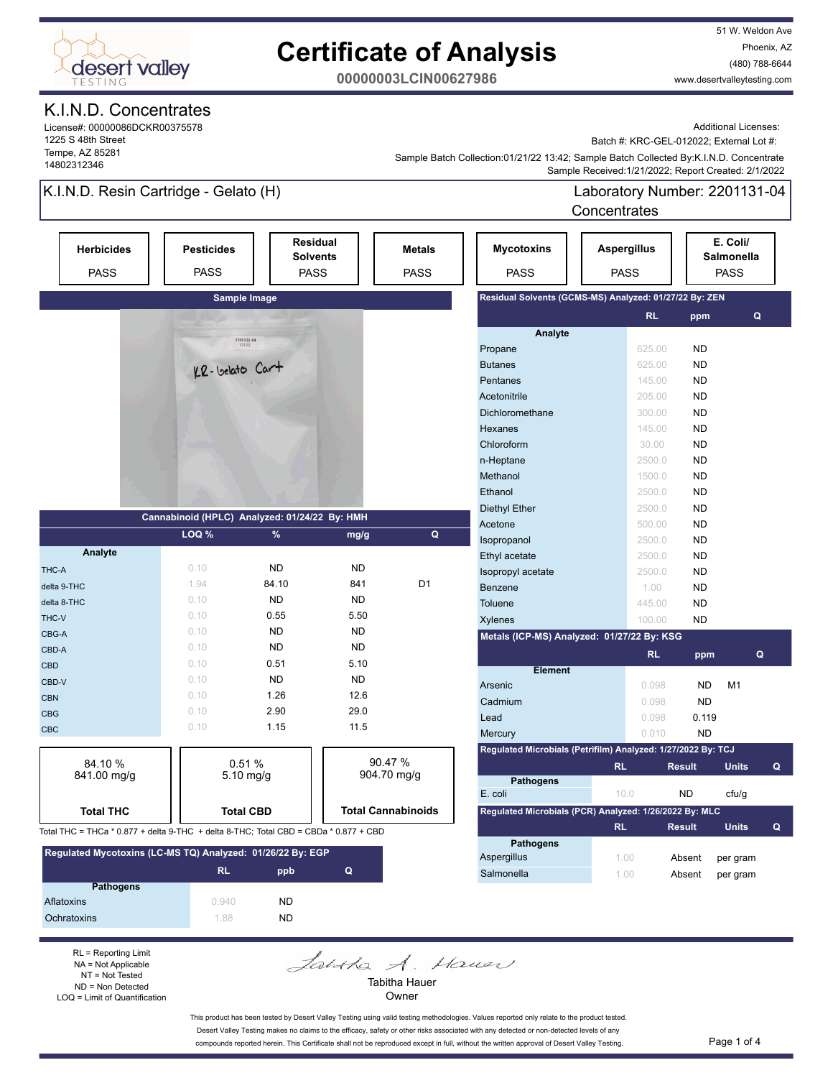

# **Certificate of Analysis**

51 W. Weldon Ave Phoenix, AZ (480) 788-6644 www.desertvalleytesting.com

**00000003LCIN00627986**

## K.I.N.D. Concentrates

License#: 00000086DCKR00375578 1225 S 48th Street Tempe, AZ 85281 14802312346

Additional Licenses:

Batch #: KRC-GEL-012022; External Lot #:

 Sample Received:1/21/2022; Report Created: 2/1/2022 Sample Batch Collection:01/21/22 13:42; Sample Batch Collected By:K.I.N.D. Concentrate

## K.I.N.D. Resin Cartridge - Gelato (H)

Laboratory Number: 2201131-04 Concentrates

|                                                                                      |                                  |                                                             |           |                              |                                                              | <b>CUILEIIU dies</b>              |               |                                              |
|--------------------------------------------------------------------------------------|----------------------------------|-------------------------------------------------------------|-----------|------------------------------|--------------------------------------------------------------|-----------------------------------|---------------|----------------------------------------------|
| <b>Herbicides</b><br><b>PASS</b>                                                     | <b>Pesticides</b><br><b>PASS</b> | <b>Residual</b><br><b>Solvents</b><br><b>PASS</b>           |           | <b>Metals</b><br><b>PASS</b> | <b>Mycotoxins</b><br><b>PASS</b>                             | <b>Aspergillus</b><br><b>PASS</b> |               | E. Coli/<br><b>Salmonella</b><br><b>PASS</b> |
|                                                                                      |                                  | Sample Image                                                |           |                              | Residual Solvents (GCMS-MS) Analyzed: 01/27/22 By: ZEN       |                                   |               |                                              |
|                                                                                      |                                  |                                                             |           |                              |                                                              | <b>RL</b>                         | ppm           | Q                                            |
|                                                                                      |                                  |                                                             |           |                              | Analyte                                                      |                                   |               |                                              |
|                                                                                      |                                  | $\begin{array}{r} 2201131\text{-}04 \\ 1/21/22 \end{array}$ |           |                              | Propane                                                      | 625.00                            | <b>ND</b>     |                                              |
|                                                                                      | KR-Velato Cart                   |                                                             |           |                              | <b>Butanes</b>                                               | 625.00                            | <b>ND</b>     |                                              |
|                                                                                      |                                  |                                                             |           |                              | Pentanes                                                     | 145.00                            | <b>ND</b>     |                                              |
|                                                                                      |                                  |                                                             |           |                              | Acetonitrile                                                 | 205.00                            | <b>ND</b>     |                                              |
|                                                                                      |                                  |                                                             |           |                              | Dichloromethane                                              | 300.00                            | <b>ND</b>     |                                              |
|                                                                                      |                                  |                                                             |           |                              | Hexanes                                                      | 145.00                            | <b>ND</b>     |                                              |
|                                                                                      |                                  |                                                             |           |                              | Chloroform                                                   | 30.00                             | <b>ND</b>     |                                              |
|                                                                                      |                                  |                                                             |           |                              | n-Heptane                                                    | 2500.0                            | <b>ND</b>     |                                              |
|                                                                                      |                                  |                                                             |           |                              | Methanol                                                     | 1500.0                            | <b>ND</b>     |                                              |
|                                                                                      |                                  |                                                             |           |                              | Ethanol                                                      | 2500.0                            | <b>ND</b>     |                                              |
|                                                                                      |                                  |                                                             |           |                              | <b>Diethyl Ether</b>                                         | 2500.0                            | <b>ND</b>     |                                              |
|                                                                                      |                                  | Cannabinoid (HPLC) Analyzed: 01/24/22 By: HMH               |           |                              | Acetone                                                      | 500.00                            | <b>ND</b>     |                                              |
|                                                                                      | LOQ %                            | %                                                           | mg/g      | Q                            | Isopropanol                                                  | 2500.0                            | <b>ND</b>     |                                              |
| Analyte                                                                              |                                  |                                                             |           |                              | Ethyl acetate                                                | 2500.0                            | <b>ND</b>     |                                              |
| THC-A                                                                                | 0.10                             | <b>ND</b>                                                   | <b>ND</b> |                              | Isopropyl acetate                                            | 2500.0                            | <b>ND</b>     |                                              |
| delta 9-THC                                                                          | 1.94                             | 84.10                                                       | 841       | D <sub>1</sub>               | Benzene                                                      | 1.00                              | <b>ND</b>     |                                              |
| delta 8-THC                                                                          | 0.10                             | <b>ND</b>                                                   | <b>ND</b> |                              | <b>Toluene</b>                                               | 445.00                            | <b>ND</b>     |                                              |
| THC-V                                                                                | 0.10                             | 0.55                                                        | 5.50      |                              | Xylenes                                                      | 100.00                            | <b>ND</b>     |                                              |
| CBG-A                                                                                | 0.10                             | <b>ND</b>                                                   | <b>ND</b> |                              | Metals (ICP-MS) Analyzed: 01/27/22 By: KSG                   |                                   |               |                                              |
| CBD-A                                                                                | 0.10                             | <b>ND</b>                                                   | <b>ND</b> |                              |                                                              | <b>RL</b>                         | ppm           | Q                                            |
| <b>CBD</b>                                                                           | 0.10                             | 0.51                                                        | 5.10      |                              | <b>Element</b>                                               |                                   |               |                                              |
| CBD-V                                                                                | 0.10                             | <b>ND</b>                                                   | <b>ND</b> |                              | Arsenic                                                      | 0.098                             | <b>ND</b>     | M <sub>1</sub>                               |
| <b>CBN</b>                                                                           | 0.10                             | 1.26                                                        | 12.6      |                              | Cadmium                                                      | 0.098                             | <b>ND</b>     |                                              |
| <b>CBG</b>                                                                           | 0.10                             | 2.90                                                        | 29.0      |                              | Lead                                                         | 0.098                             | 0.119         |                                              |
| <b>CBC</b>                                                                           | 0.10                             | 1.15                                                        | 11.5      |                              | Mercury                                                      | 0.010                             | <b>ND</b>     |                                              |
|                                                                                      |                                  |                                                             |           |                              | Regulated Microbials (Petrifilm) Analyzed: 1/27/2022 By: TCJ |                                   |               |                                              |
| 84.10%                                                                               |                                  | 0.51%                                                       |           | 90.47 %                      |                                                              | <b>RL</b>                         | <b>Result</b> | <b>Units</b><br>Q                            |
| 841.00 mg/g                                                                          |                                  | $5.10$ mg/g                                                 |           | 904.70 mg/g                  | <b>Pathogens</b>                                             |                                   |               |                                              |
|                                                                                      |                                  |                                                             |           |                              | E. coli                                                      | 10.0                              | <b>ND</b>     | cfu/g                                        |
| <b>Total THC</b>                                                                     |                                  | <b>Total CBD</b>                                            |           | <b>Total Cannabinoids</b>    | Regulated Microbials (PCR) Analyzed: 1/26/2022 By: MLC       |                                   |               |                                              |
| Total THC = THCa * 0.877 + delta 9-THC + delta 8-THC; Total CBD = CBDa * 0.877 + CBD |                                  |                                                             |           |                              |                                                              | <b>RL</b>                         | <b>Result</b> | <b>Units</b><br>Q                            |
|                                                                                      |                                  |                                                             |           |                              | <b>Pathogens</b>                                             |                                   |               |                                              |

| Regulated Mycotoxins (LC-MS TQ) Analyzed: 01/26/22 By: EGP |           |     |   |  |  |
|------------------------------------------------------------|-----------|-----|---|--|--|
|                                                            | <b>RL</b> | ppb | Q |  |  |
| <b>Pathogens</b>                                           |           |     |   |  |  |
| Aflatoxins                                                 | 0.940     | ND. |   |  |  |
| <b>Ochratoxins</b>                                         | 188       | ND. |   |  |  |

RL = Reporting Limit NA = Not Applicable NT = Not Tested ND = Non Detected LOQ = Limit of Quantification Janka A. Hauer Tabitha Hauer

Owner

This product has been tested by Desert Valley Testing using valid testing methodologies. Values reported only relate to the product tested. Desert Valley Testing makes no claims to the efficacy, safety or other risks associated with any detected or non-detected levels of any compounds reported herein. This Certificate shall not be reproduced except in full, without the written approval of Desert Valley Testing. Page 1 of 4

Aspergillus 1.00 Absent per gram Salmonella 1.00 Absent per gram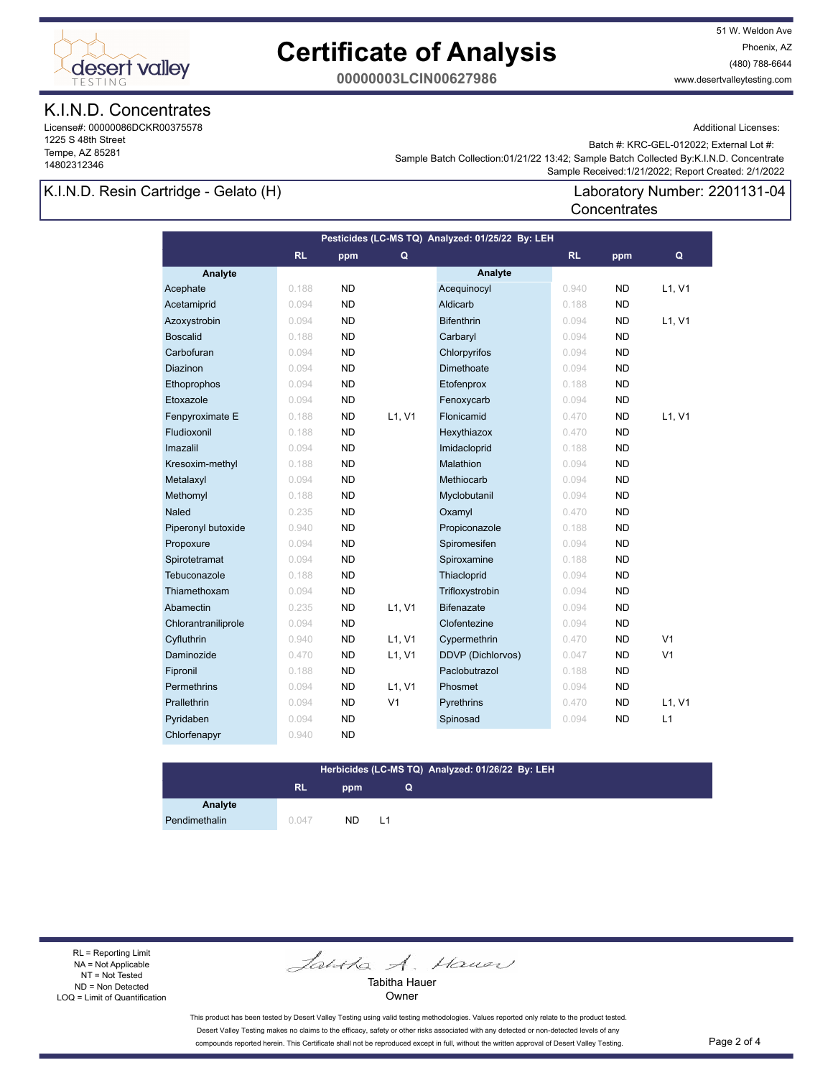

## **Certificate of Analysis**

51 W. Weldon Ave Phoenix, AZ (480) 788-6644 www.desertvalleytesting.com

**00000003LCIN00627986**

## K.I.N.D. Concentrates

License#: 00000086DCKR00375578 1225 S 48th Street Tempe, AZ 85281 14802312346

Additional Licenses:

Batch #: KRC-GEL-012022; External Lot #:

Laboratory Number: 2201131-04

 Sample Received:1/21/2022; Report Created: 2/1/2022 Sample Batch Collection:01/21/22 13:42; Sample Batch Collected By:K.I.N.D. Concentrate

**Concentrates** 

#### K.I.N.D. Resin Cartridge - Gelato (H)

|                     |           |           |                | Pesticides (LC-MS TQ) Analyzed: 01/25/22 By: LEH |           |           |                |
|---------------------|-----------|-----------|----------------|--------------------------------------------------|-----------|-----------|----------------|
|                     | <b>RL</b> | ppm       | Q              |                                                  | <b>RL</b> | ppm       | Q              |
| Analyte             |           |           |                | Analyte                                          |           |           |                |
| Acephate            | 0.188     | <b>ND</b> |                | Acequinocyl                                      | 0.940     | <b>ND</b> | L1, V1         |
| Acetamiprid         | 0.094     | <b>ND</b> |                | Aldicarb                                         | 0.188     | <b>ND</b> |                |
| Azoxystrobin        | 0.094     | <b>ND</b> |                | <b>Bifenthrin</b>                                | 0.094     | <b>ND</b> | L1, V1         |
| <b>Boscalid</b>     | 0.188     | <b>ND</b> |                | Carbaryl                                         | 0.094     | <b>ND</b> |                |
| Carbofuran          | 0.094     | <b>ND</b> |                | Chlorpyrifos                                     | 0.094     | <b>ND</b> |                |
| Diazinon            | 0.094     | <b>ND</b> |                | Dimethoate                                       | 0.094     | <b>ND</b> |                |
| Ethoprophos         | 0.094     | <b>ND</b> |                | Etofenprox                                       | 0.188     | <b>ND</b> |                |
| Etoxazole           | 0.094     | <b>ND</b> |                | Fenoxycarb                                       | 0.094     | <b>ND</b> |                |
| Fenpyroximate E     | 0.188     | <b>ND</b> | L1, V1         | Flonicamid                                       | 0.470     | <b>ND</b> | L1, V1         |
| Fludioxonil         | 0.188     | <b>ND</b> |                | Hexythiazox                                      | 0.470     | <b>ND</b> |                |
| Imazalil            | 0.094     | <b>ND</b> |                | Imidacloprid                                     | 0.188     | <b>ND</b> |                |
| Kresoxim-methyl     | 0.188     | <b>ND</b> |                | Malathion                                        | 0.094     | <b>ND</b> |                |
| Metalaxyl           | 0.094     | <b>ND</b> |                | Methiocarb                                       | 0.094     | <b>ND</b> |                |
| Methomyl            | 0.188     | <b>ND</b> |                | Myclobutanil                                     | 0.094     | <b>ND</b> |                |
| Naled               | 0.235     | <b>ND</b> |                | Oxamyl                                           | 0.470     | <b>ND</b> |                |
| Piperonyl butoxide  | 0.940     | <b>ND</b> |                | Propiconazole                                    | 0.188     | <b>ND</b> |                |
| Propoxure           | 0.094     | <b>ND</b> |                | Spiromesifen                                     | 0.094     | <b>ND</b> |                |
| Spirotetramat       | 0.094     | <b>ND</b> |                | Spiroxamine                                      | 0.188     | <b>ND</b> |                |
| Tebuconazole        | 0.188     | <b>ND</b> |                | Thiacloprid                                      | 0.094     | <b>ND</b> |                |
| Thiamethoxam        | 0.094     | <b>ND</b> |                | Trifloxystrobin                                  | 0.094     | <b>ND</b> |                |
| Abamectin           | 0.235     | <b>ND</b> | L1, V1         | <b>Bifenazate</b>                                | 0.094     | <b>ND</b> |                |
| Chlorantraniliprole | 0.094     | <b>ND</b> |                | Clofentezine                                     | 0.094     | <b>ND</b> |                |
| Cyfluthrin          | 0.940     | <b>ND</b> | L1, V1         | Cypermethrin                                     | 0.470     | <b>ND</b> | V <sub>1</sub> |
| Daminozide          | 0.470     | <b>ND</b> | L1, V1         | DDVP (Dichlorvos)                                | 0.047     | <b>ND</b> | V <sub>1</sub> |
| Fipronil            | 0.188     | <b>ND</b> |                | Paclobutrazol                                    | 0.188     | <b>ND</b> |                |
| Permethrins         | 0.094     | <b>ND</b> | L1, V1         | Phosmet                                          | 0.094     | <b>ND</b> |                |
| Prallethrin         | 0.094     | <b>ND</b> | V <sub>1</sub> | Pyrethrins                                       | 0.470     | <b>ND</b> | L1, V1         |
| Pyridaben           | 0.094     | <b>ND</b> |                | Spinosad                                         | 0.094     | <b>ND</b> | L1             |
| Chlorfenapyr        | 0.940     | <b>ND</b> |                |                                                  |           |           |                |

#### **Herbicides (LC-MS TQ) Analyzed: 01/26/22 By: LEH**

**Q**

## **RL ppm**

**Analyte**

Pendimethalin 0.047 ND L1

RL = Reporting Limit NA = Not Applicable NT = Not Tested ND = Non Detected LOQ = Limit of Quantification

Jantha A. Hauer

Tabitha Hauer Owner

This product has been tested by Desert Valley Testing using valid testing methodologies. Values reported only relate to the product tested. Desert Valley Testing makes no claims to the efficacy, safety or other risks associated with any detected or non-detected levels of any compounds reported herein. This Certificate shall not be reproduced except in full, without the written approval of Desert Valley Testing. Page 2 of 4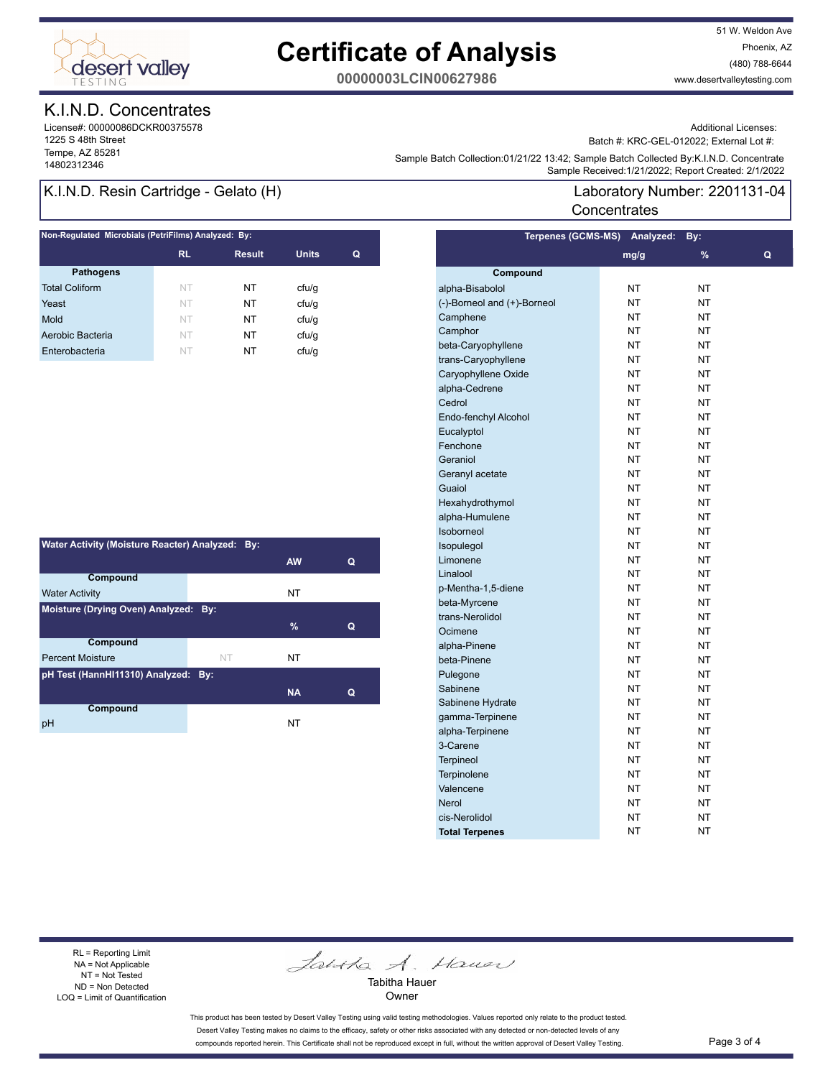

# **Certificate of Analysis**

51 W. Weldon Ave Phoenix, AZ (480) 788-6644 www.desertvalleytesting.com

**00000003LCIN00627986**

## K.I.N.D. Concentrates

License#: 00000086DCKR00375578 1225 S 48th Street Tempe, AZ 85281

Additional Licenses:

Batch #: KRC-GEL-012022; External Lot #:

Laboratory Number: 2201131-04

Sample Battri Collection.orizinzzi istaz, Sample Battri Collection (State Collection 2012)<br>Sample Received:1/21/2022; Report Created: 2/1/2022 Sample Batch Collection:01/21/22 13:42; Sample Batch Collected By:K.I.N.D. Concentrate

**Concentrates** 

## K.I.N.D. Resin Cartridge - Gelato (H)

| Non-Regulated Microbials (PetriFilms) Analyzed: By: |               |              |   |  |  |  |
|-----------------------------------------------------|---------------|--------------|---|--|--|--|
| <b>RL</b>                                           | <b>Result</b> | <b>Units</b> | Q |  |  |  |
|                                                     |               |              |   |  |  |  |
| NT                                                  | NT            | ctu/g        |   |  |  |  |
| NT                                                  | NT            | cfu/q        |   |  |  |  |
| NT.                                                 | NT            | cfu/q        |   |  |  |  |
| NT                                                  | NT            | ctu/g        |   |  |  |  |
| NT                                                  | NT            | cfu/q        |   |  |  |  |
|                                                     |               |              |   |  |  |  |

| Water Activity (Moisture Reacter) Analyzed: By: |    |           |   |  |  |  |
|-------------------------------------------------|----|-----------|---|--|--|--|
|                                                 |    | <b>AW</b> | Q |  |  |  |
| Compound                                        |    |           |   |  |  |  |
| <b>Water Activity</b>                           |    | NT        |   |  |  |  |
| Moisture (Drying Oven) Analyzed: By:            |    |           |   |  |  |  |
|                                                 |    | $\%$      | Q |  |  |  |
| <b>Compound</b>                                 |    |           |   |  |  |  |
| <b>Percent Moisture</b>                         | NT | NT        |   |  |  |  |
| pH Test (HannHI11310) Analyzed: By:             |    |           |   |  |  |  |
|                                                 |    | <b>NA</b> | Q |  |  |  |
| Compound                                        |    |           |   |  |  |  |
| pH                                              |    | NT        |   |  |  |  |

| <b>Terpenes (GCMS-MS)</b>   | Analyzed: | By:                      |   |
|-----------------------------|-----------|--------------------------|---|
|                             | mg/g      | $\overline{\frac{9}{6}}$ | Q |
| Compound                    |           |                          |   |
| alpha-Bisabolol             | <b>NT</b> | NT                       |   |
| (-)-Borneol and (+)-Borneol | <b>NT</b> | NT                       |   |
| Camphene                    | <b>NT</b> | NT                       |   |
| Camphor                     | <b>NT</b> | NT                       |   |
| beta-Caryophyllene          | NT        | NT                       |   |
| trans-Caryophyllene         | NT        | NT                       |   |
| Caryophyllene Oxide         | NT        | NT                       |   |
| alpha-Cedrene               | NT        | NT                       |   |
| Cedrol                      | NT        | NT                       |   |
| Endo-fenchyl Alcohol        | NT        | NT                       |   |
| Eucalyptol                  | NT        | NΤ                       |   |
| Fenchone                    | NT        | NT                       |   |
| Geraniol                    | NT        | ΝT                       |   |
| Geranyl acetate             | NT        | NΤ                       |   |
| Guaiol                      | NT        | NΤ                       |   |
| Hexahydrothymol             | NT        | NT                       |   |
| alpha-Humulene              | NT        | NΤ                       |   |
| Isoborneol                  | NT        | NΤ                       |   |
| Isopulegol                  | NT.       | NT                       |   |
| Limonene                    | <b>NT</b> | <b>NT</b>                |   |
| Linalool                    | <b>NT</b> | NT                       |   |
| p-Mentha-1,5-diene          | <b>NT</b> | NT                       |   |
| beta-Myrcene                | <b>NT</b> | NT                       |   |
| trans-Nerolidol             | <b>NT</b> | NT                       |   |
| Ocimene                     | <b>NT</b> | NT                       |   |
| alpha-Pinene                | <b>NT</b> | NT                       |   |
| beta-Pinene                 | <b>NT</b> | NT                       |   |
| Pulegone                    | <b>NT</b> | NT                       |   |
| Sabinene                    | NT        | NT                       |   |
| Sabinene Hydrate            | NT        | NT                       |   |
| gamma-Terpinene             | NT        | NT                       |   |
| alpha-Terpinene             | NT        | NT                       |   |
| 3-Carene                    | NT        | NT                       |   |
| <b>Terpineol</b>            | NT        | NΤ                       |   |
| <b>Terpinolene</b>          | NT        | NΤ                       |   |
| Valencene                   | NT        | NT                       |   |
| Nerol                       | NT        | ΝT                       |   |
| cis-Nerolidol               | NΤ        | ΝT                       |   |
| <b>Total Terpenes</b>       | NT        | ΝT                       |   |

RL = Reporting Limit NA = Not Applicable NT = Not Tested ND = Non Detected LOQ = Limit of Quantification

Jantha A. Hauer

Tabitha Hauer Owner

This product has been tested by Desert Valley Testing using valid testing methodologies. Values reported only relate to the product tested. Desert Valley Testing makes no claims to the efficacy, safety or other risks associated with any detected or non-detected levels of any compounds reported herein. This Certificate shall not be reproduced except in full, without the written approval of Desert Valley Testing. Page 3 of 4